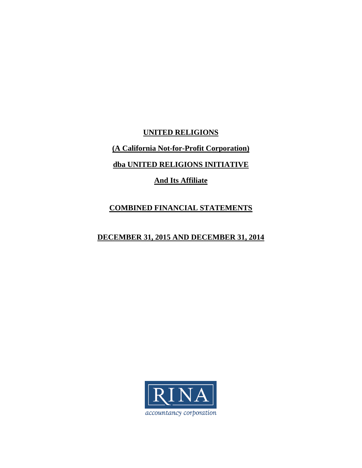**UNITED RELIGIONS (A California Not-for-Profit Corporation) dba UNITED RELIGIONS INITIATIVE And Its Affiliate** 

# **COMBINED FINANCIAL STATEMENTS**

# **DECEMBER 31, 2015 AND DECEMBER 31, 2014**

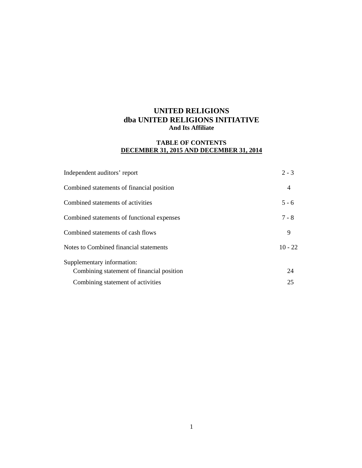### **TABLE OF CONTENTS DECEMBER 31, 2015 AND DECEMBER 31, 2014**

| Independent auditors' report               | $2 - 3$        |
|--------------------------------------------|----------------|
| Combined statements of financial position  | $\overline{4}$ |
| Combined statements of activities          | $5 - 6$        |
| Combined statements of functional expenses | $7 - 8$        |
| Combined statements of cash flows          | 9              |
| Notes to Combined financial statements     | $10 - 22$      |
| Supplementary information:                 |                |
| Combining statement of financial position  | 24             |
| Combining statement of activities          | 25             |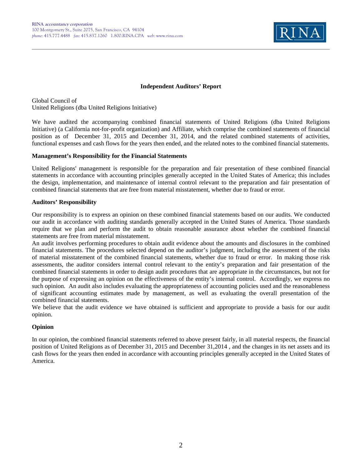

### **Independent Auditors' Report**

Global Council of United Religions (dba United Religions Initiative)

We have audited the accompanying combined financial statements of United Religions (dba United Religions Initiative) (a California not-for-profit organization) and Affiliate, which comprise the combined statements of financial position as of December 31, 2015 and December 31, 2014, and the related combined statements of activities, functional expenses and cash flows for the years then ended, and the related notes to the combined financial statements.

#### **Management's Responsibility for the Financial Statements**

United Religions' management is responsible for the preparation and fair presentation of these combined financial statements in accordance with accounting principles generally accepted in the United States of America; this includes the design, implementation, and maintenance of internal control relevant to the preparation and fair presentation of combined financial statements that are free from material misstatement, whether due to fraud or error.

### **Auditors' Responsibility**

Our responsibility is to express an opinion on these combined financial statements based on our audits. We conducted our audit in accordance with auditing standards generally accepted in the United States of America. Those standards require that we plan and perform the audit to obtain reasonable assurance about whether the combined financial statements are free from material misstatement.

An audit involves performing procedures to obtain audit evidence about the amounts and disclosures in the combined financial statements. The procedures selected depend on the auditor's judgment, including the assessment of the risks of material misstatement of the combined financial statements, whether due to fraud or error. In making those risk assessments, the auditor considers internal control relevant to the entity's preparation and fair presentation of the combined financial statements in order to design audit procedures that are appropriate in the circumstances, but not for the purpose of expressing an opinion on the effectiveness of the entity's internal control. Accordingly, we express no such opinion. An audit also includes evaluating the appropriateness of accounting policies used and the reasonableness of significant accounting estimates made by management, as well as evaluating the overall presentation of the combined financial statements.

We believe that the audit evidence we have obtained is sufficient and appropriate to provide a basis for our audit opinion.

### **Opinion**

In our opinion, the combined financial statements referred to above present fairly, in all material respects, the financial position of United Religions as of December 31, 2015 and December 31,2014 , and the changes in its net assets and its cash flows for the years then ended in accordance with accounting principles generally accepted in the United States of America.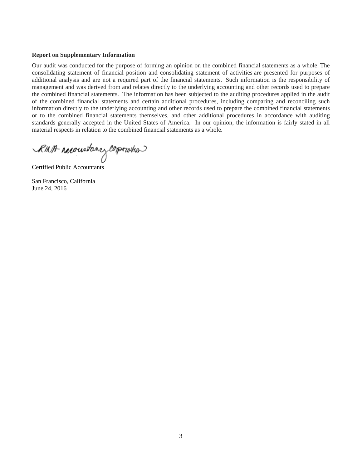#### **Report on Supplementary Information**

Our audit was conducted for the purpose of forming an opinion on the combined financial statements as a whole. The consolidating statement of financial position and consolidating statement of activities are presented for purposes of additional analysis and are not a required part of the financial statements. Such information is the responsibility of management and was derived from and relates directly to the underlying accounting and other records used to prepare the combined financial statements. The information has been subjected to the auditing procedures applied in the audit of the combined financial statements and certain additional procedures, including comparing and reconciling such information directly to the underlying accounting and other records used to prepare the combined financial statements or to the combined financial statements themselves, and other additional procedures in accordance with auditing standards generally accepted in the United States of America. In our opinion, the information is fairly stated in all material respects in relation to the combined financial statements as a whole.

RMA reconstance corporation

Certified Public Accountants

San Francisco, California June 24, 2016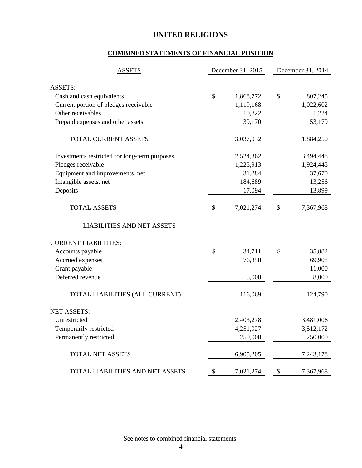# **COMBINED STATEMENTS OF FINANCIAL POSITION**

| <b>ASSETS</b>                                 | December 31, 2015 | December 31, 2014 |           |  |
|-----------------------------------------------|-------------------|-------------------|-----------|--|
| <b>ASSETS:</b>                                |                   |                   |           |  |
| Cash and cash equivalents                     | \$<br>1,868,772   | \$                | 807,245   |  |
| Current portion of pledges receivable         | 1,119,168         |                   | 1,022,602 |  |
| Other receivables                             | 10,822            |                   | 1,224     |  |
| Prepaid expenses and other assets             | 39,170            |                   | 53,179    |  |
| TOTAL CURRENT ASSETS                          | 3,037,932         |                   | 1,884,250 |  |
| Investments restricted for long-term purposes | 2,524,362         |                   | 3,494,448 |  |
| Pledges receivable                            | 1,225,913         |                   | 1,924,445 |  |
| Equipment and improvements, net               | 31,284            |                   | 37,670    |  |
| Intangible assets, net                        | 184,689           |                   | 13,256    |  |
| Deposits                                      | 17,094            |                   | 13,899    |  |
| <b>TOTAL ASSETS</b>                           | \$<br>7,021,274   | \$                | 7,367,968 |  |
| <b>LIABILITIES AND NET ASSETS</b>             |                   |                   |           |  |
| <b>CURRENT LIABILITIES:</b>                   |                   |                   |           |  |
| Accounts payable                              | \$<br>34,711      | \$                | 35,882    |  |
| Accrued expenses                              | 76,358            |                   | 69,908    |  |
| Grant payable                                 |                   |                   | 11,000    |  |
| Deferred revenue                              | 5,000             |                   | 8,000     |  |
| TOTAL LIABILITIES (ALL CURRENT)               | 116,069           |                   | 124,790   |  |
| <b>NET ASSETS:</b>                            |                   |                   |           |  |
| Unrestricted                                  | 2,403,278         |                   | 3,481,006 |  |
| Temporarily restricted                        | 4,251,927         |                   | 3,512,172 |  |
| Permanently restricted                        | 250,000           |                   | 250,000   |  |
| TOTAL NET ASSETS                              | 6,905,205         |                   | 7,243,178 |  |
| TOTAL LIABILITIES AND NET ASSETS              | \$<br>7,021,274   | \$                | 7,367,968 |  |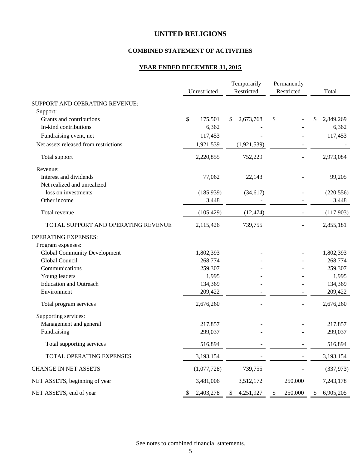### **COMBINED STATEMENT OF ACTIVITIES**

### **YEAR ENDED DECEMBER 31, 2015**

|                                       | Unrestricted    |            | Temporarily<br>Restricted |             | Permanently<br>Restricted |    | Total      |
|---------------------------------------|-----------------|------------|---------------------------|-------------|---------------------------|----|------------|
| SUPPORT AND OPERATING REVENUE:        |                 |            |                           |             |                           |    |            |
| Support:                              |                 |            |                           |             |                           |    |            |
| Grants and contributions              | \$<br>175,501   |            | \$                        | 2,673,768   | \$                        | S  | 2,849,269  |
| In-kind contributions                 |                 | 6,362      |                           |             |                           |    | 6,362      |
| Fundraising event, net                |                 | 117,453    |                           |             |                           |    | 117,453    |
| Net assets released from restrictions | 1,921,539       |            |                           | (1,921,539) |                           |    |            |
| Total support                         | 2,220,855       |            |                           | 752,229     |                           |    | 2,973,084  |
| Revenue:                              |                 |            |                           |             |                           |    |            |
| Interest and dividends                |                 | 77,062     |                           | 22,143      |                           |    | 99,205     |
| Net realized and unrealized           |                 |            |                           |             |                           |    |            |
| loss on investments                   |                 | (185, 939) |                           | (34, 617)   |                           |    | (220, 556) |
| Other income                          |                 | 3,448      |                           |             |                           |    | 3,448      |
| Total revenue                         |                 | (105, 429) |                           | (12, 474)   |                           |    | (117,903)  |
| TOTAL SUPPORT AND OPERATING REVENUE   | 2,115,426       |            |                           | 739,755     |                           |    | 2,855,181  |
| <b>OPERATING EXPENSES:</b>            |                 |            |                           |             |                           |    |            |
| Program expenses:                     |                 |            |                           |             |                           |    |            |
| <b>Global Community Development</b>   | 1,802,393       |            |                           |             |                           |    | 1,802,393  |
| Global Council                        | 268,774         |            |                           |             |                           |    | 268,774    |
| Communications                        | 259,307         |            |                           |             |                           |    | 259,307    |
| Young leaders                         |                 | 1,995      |                           |             |                           |    | 1,995      |
| <b>Education and Outreach</b>         | 134,369         |            |                           |             |                           |    | 134,369    |
| Environment                           | 209,422         |            |                           |             |                           |    | 209,422    |
| Total program services                | 2,676,260       |            |                           |             |                           |    | 2,676,260  |
| Supporting services:                  |                 |            |                           |             |                           |    |            |
| Management and general                | 217,857         |            |                           |             |                           |    | 217,857    |
| Fundraising                           | 299,037         |            |                           |             |                           |    | 299,037    |
| Total supporting services             | 516,894         |            |                           |             |                           |    | 516,894    |
| TOTAL OPERATING EXPENSES              | 3,193,154       |            |                           |             |                           |    | 3,193,154  |
| <b>CHANGE IN NET ASSETS</b>           | (1,077,728)     |            |                           | 739,755     |                           |    | (337, 973) |
| NET ASSETS, beginning of year         | 3,481,006       |            |                           | 3,512,172   | 250,000                   |    | 7,243,178  |
| NET ASSETS, end of year               | 2,403,278<br>\$ |            | \$                        | 4,251,927   | \$<br>250,000             | \$ | 6,905,205  |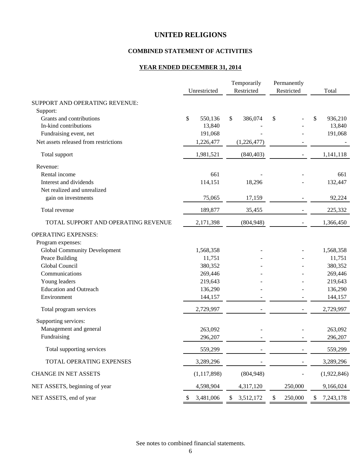### **COMBINED STATEMENT OF ACTIVITIES**

# **YEAR ENDED DECEMBER 31, 2014**

|                                       | Unrestricted  |    | Temporarily<br>Restricted | Permanently<br>Restricted | Total           |
|---------------------------------------|---------------|----|---------------------------|---------------------------|-----------------|
|                                       |               |    |                           |                           |                 |
| SUPPORT AND OPERATING REVENUE:        |               |    |                           |                           |                 |
| Support:                              |               |    |                           |                           |                 |
| Grants and contributions              | \$<br>550,136 | \$ | 386,074                   | \$                        | \$<br>936,210   |
| In-kind contributions                 | 13,840        |    |                           |                           | 13,840          |
| Fundraising event, net                | 191,068       |    |                           |                           | 191,068         |
| Net assets released from restrictions | 1,226,477     |    | (1,226,477)               |                           |                 |
| Total support                         | 1,981,521     |    | (840, 403)                |                           | 1,141,118       |
| Revenue:                              |               |    |                           |                           |                 |
| Rental income                         | 661           |    |                           |                           | 661             |
| Interest and dividends                | 114,151       |    | 18,296                    |                           | 132,447         |
| Net realized and unrealized           |               |    |                           |                           |                 |
| gain on investments                   | 75,065        |    | 17,159                    |                           | 92,224          |
| Total revenue                         | 189,877       |    | 35,455                    |                           | 225,332         |
| TOTAL SUPPORT AND OPERATING REVENUE   | 2,171,398     |    | (804, 948)                |                           | 1,366,450       |
| <b>OPERATING EXPENSES:</b>            |               |    |                           |                           |                 |
| Program expenses:                     |               |    |                           |                           |                 |
| <b>Global Community Development</b>   | 1,568,358     |    |                           |                           | 1,568,358       |
| Peace Building                        | 11,751        |    |                           |                           | 11,751          |
| Global Council                        | 380,352       |    |                           |                           | 380,352         |
| Communications                        | 269,446       |    |                           |                           | 269,446         |
| Young leaders                         | 219,643       |    |                           |                           | 219,643         |
| <b>Education and Outreach</b>         | 136,290       |    |                           |                           | 136,290         |
| Environment                           | 144,157       |    |                           |                           | 144,157         |
| Total program services                | 2,729,997     |    |                           |                           | 2,729,997       |
| Supporting services:                  |               |    |                           |                           |                 |
| Management and general                | 263,092       |    |                           |                           | 263,092         |
| Fundraising                           | 296,207       |    |                           |                           | 296,207         |
| Total supporting services             | 559,299       |    |                           |                           | 559,299         |
| TOTAL OPERATING EXPENSES              | 3,289,296     |    |                           |                           | 3,289,296       |
| <b>CHANGE IN NET ASSETS</b>           | (1, 117, 898) |    | (804, 948)                |                           | (1,922,846)     |
| NET ASSETS, beginning of year         | 4,598,904     |    | 4,317,120                 | 250,000                   | 9,166,024       |
| NET ASSETS, end of year               | 3,481,006     | S  | 3,512,172                 | \$<br>250,000             | \$<br>7,243,178 |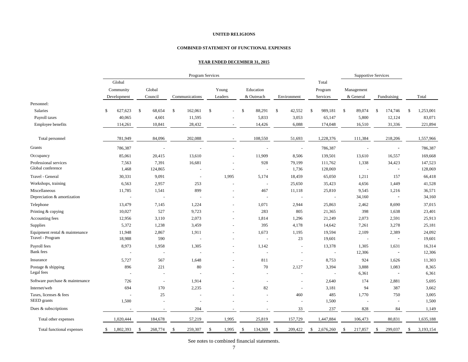#### **COMBINED STATEMENT OF FUNCTIONAL EXPENSES**

#### **YEAR ENDED DECEMBER 31, 2015**

|                                 |                 |                          | Program Services |             |                        |                        |                 | <b>Supportive Services</b> |                          |                 |
|---------------------------------|-----------------|--------------------------|------------------|-------------|------------------------|------------------------|-----------------|----------------------------|--------------------------|-----------------|
|                                 | Global          |                          |                  |             |                        |                        | Total           |                            |                          |                 |
|                                 | Community       | Global                   |                  | Young       | Education              |                        | Program         | Management                 |                          |                 |
|                                 | Development     | Council                  | Communications   | Leaders     | & Outreach             | Environment            | Services        | & General                  | Fundraising              | Total           |
| Personnel:                      |                 |                          |                  |             |                        |                        |                 |                            |                          |                 |
| Salaries                        | 627,623<br>\$   | $\mathbb{S}$<br>68,654   | \$<br>162,061    | \$          | 88,291<br>$\mathbb{S}$ | $\mathbb{S}$<br>42,552 | 989,181<br>\$   | \$<br>89,074               | $\mathbb{S}$<br>174,746  | 1,253,001<br>\$ |
| Payroll taxes                   | 40,065          | 4,601                    | 11,595           |             | 5,833                  | 3,053                  | 65,147          | 5,800                      | 12,124                   | 83,071          |
| Employee benefits               | 114,261         | 10,841                   | 28,432           |             | 14,426                 | 6,088                  | 174,048         | 16,510                     | 31,336                   | 221,894         |
| Total personnel                 | 781,949         | 84,096                   | 202,088          |             | 108,550                | 51,693                 | 1,228,376       | 111,384                    | 218,206                  | 1,557,966       |
| Grants                          | 786,387         |                          |                  |             |                        | $\sim$                 | 786,387         |                            |                          | 786,387         |
| Occupancy                       | 85,061          | 20,415                   | 13,610           |             | 11,909                 | 8,506                  | 139,501         | 13,610                     | 16,557                   | 169,668         |
| Professional services           | 7,563           | 7,391                    | 16,681           |             | 928                    | 79,199                 | 111,762         | 1,338                      | 34,423                   | 147,523         |
| Global conference               | 1,468           | 124,865                  |                  |             | $\sim$                 | 1,736                  | 128,069         | $\sim$                     |                          | 128,069         |
| Travel - General                | 30,331          | 9,091                    | $\sim$           | 1,995       | 5,174                  | 18,459                 | 65,050          | 1,211                      | 157                      | 66,418          |
| Workshops, training             | 6,563           | 2,957                    | 253              |             | $\sim$                 | 25,650                 | 35,423          | 4,656                      | 1,449                    | 41,528          |
| Miscellaneous                   | 11,785          | 1,541                    | 899              |             | 467                    | 11,118                 | 25,810          | 9,545                      | 1,216                    | 36,571          |
| Depreciation & amortization     |                 |                          |                  |             | $\sim$                 | $\sim$                 | $\overline{a}$  | 34,160                     | $\overline{\phantom{a}}$ | 34,160          |
| Telephone                       | 13,479          | 7,145                    | 1,224            |             | 1,071                  | 2,944                  | 25,863          | 2,462                      | 8,690                    | 37,015          |
| Printing & copying              | 10,027          | 527                      | 9,723            |             | 283                    | 805                    | 21,365          | 398                        | 1,638                    | 23,401          |
| Accounting fees                 | 12,956          | 3,110                    | 2,073            |             | 1,814                  | 1,296                  | 21,249          | 2,073                      | 2,591                    | 25,913          |
| Supplies                        | 5,372           | 1,238                    | 3,459            |             | 395                    | 4,178                  | 14,642          | 7,261                      | 3,278                    | 25,181          |
| Equipment rental & maintenance  | 11,948          | 2,867                    | 1,911            |             | 1,673                  | 1,195                  | 19,594          | 2,109                      | 2,389                    | 24,092          |
| Travel - Program                | 18,988          | 590                      |                  |             | $\sim$                 | 23                     | 19,601          | $\bar{\phantom{a}}$        | $\overline{\phantom{a}}$ | 19,601          |
| Payroll fees                    | 8,973           | 1,958                    | 1,305            |             | 1,142                  | $\ddot{\phantom{1}}$   | 13,378          | 1,305                      | 1,631                    | 16,314          |
| <b>Bank</b> fees                |                 | $\sim$                   |                  |             | $\sim$                 |                        | $\sim$          | 12,306                     | $\overline{\phantom{a}}$ | 12,306          |
| Insurance                       | 5,727           | 567                      | 1,648            |             | 811                    |                        | 8,753           | 924                        | 1,626                    | 11,303          |
| Postage & shipping              | 896             | 221                      | 80               |             | 70                     | 2,127                  | 3,394           | 3,888                      | 1,083                    | 8,365           |
| Legal fees                      |                 |                          |                  |             |                        |                        | L,              | 6,361                      | $\overline{\phantom{a}}$ | 6,361           |
| Software purchase & maintenance | 726             | $\overline{\phantom{a}}$ | 1,914            |             | $\sim$                 |                        | 2,640           | 174                        | 2,881                    | 5,695           |
| Internet/web                    | 694             | 170                      | 2,235            |             | 82                     | $\sim$                 | 3,181           | 94                         | 387                      | 3,662           |
| Taxes, licenses & fees          |                 | 25                       |                  |             |                        | 460                    | 485             | 1,770                      | 750                      | 3,005           |
| SEED grants                     | 1,500           | $\sim$                   |                  |             |                        |                        | 1,500           |                            |                          | 1,500           |
| Dues & subscriptions            |                 |                          | 204              |             |                        | 33                     | 237             | 828                        | 84                       | 1,149           |
| Total other expenses            | 1,020,444       | 184,678                  | 57,219           | 1,995       | 25,819                 | 157,729                | 1,447,884       | 106,473                    | 80,831                   | 1,635,188       |
| Total functional expenses       | 1,802,393<br>\$ | 268,774<br>\$            | 259,307<br>-S    | 1,995<br>\$ | 134,369<br>\$          | 209,422<br>\$          | \$<br>2,676,260 | 217,857<br>\$              | 299,037<br>\$            | 3,193,154<br>\$ |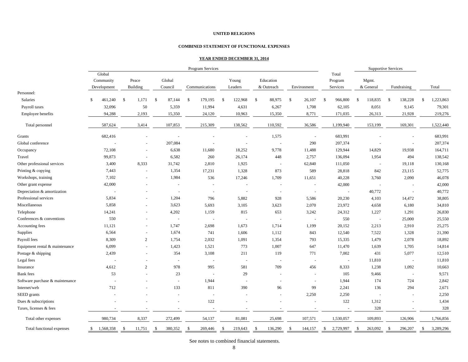#### **COMBINED STATEMENT OF FUNCTIONAL EXPENSES**

#### **YEAR ENDED DECEMBER 31, 2014**

|                                 |              | Program Services         |               |                          |     |         |               |                          |               | <b>Supportive Services</b> |              |                          |               |             |              |           |               |                          |               |             |               |           |
|---------------------------------|--------------|--------------------------|---------------|--------------------------|-----|---------|---------------|--------------------------|---------------|----------------------------|--------------|--------------------------|---------------|-------------|--------------|-----------|---------------|--------------------------|---------------|-------------|---------------|-----------|
|                                 |              | Global                   |               |                          |     |         |               |                          |               |                            |              |                          |               |             |              | Total     |               |                          |               |             |               |           |
|                                 |              | Community                |               | Peace                    |     | Global  |               |                          |               | Young                      |              | Education                |               |             |              | Program   |               | Mgmt.                    |               |             |               |           |
|                                 |              | Development              |               | <b>Building</b>          |     | Council |               | Communications           |               | Leaders                    |              | & Outreach               |               | Environment |              | Services  |               | & General                |               | Fundraising |               | Total     |
| Personnel:                      |              |                          |               |                          |     |         |               |                          |               |                            |              |                          |               |             |              |           |               |                          |               |             |               |           |
| Salaries                        | \$           | 461,240                  | $\mathcal{S}$ | 1,171                    | -\$ | 87,144  | $\mathbb{S}$  | 179,195                  | $\mathcal{S}$ | 122,968                    | $\mathbb{S}$ | 88,975                   | $\mathbb{S}$  | 26,107      | $\mathbb{S}$ | 966,800   | \$            | 118,835                  | <sup>\$</sup> | 138,228     | <sup>\$</sup> | 1,223,863 |
| Payroll taxes                   |              | 32,096                   |               | 50                       |     | 5,359   |               | 11,994                   |               | 4,631                      |              | 6,267                    |               | 1,708       |              | 62,105    |               | 8,051                    |               | 9,145       |               | 79,301    |
| Employee benefits               |              | 94,288                   |               | 2,193                    |     | 15,350  |               | 24,120                   |               | 10,963                     |              | 15,350                   |               | 8,771       |              | 171,035   |               | 26,313                   |               | 21,928      |               | 219,276   |
| Total personnel                 |              | 587,624                  |               | 3,414                    |     | 107,853 |               | 215,309                  |               | 138,562                    |              | 110,592                  |               | 36,586      |              | 1,199,940 |               | 153,199                  |               | 169,301     |               | 1,522,440 |
| Grants                          |              | 682,416                  |               | $\sim$                   |     |         |               |                          |               | $\overline{a}$             |              | 1,575                    |               | $\sim$      |              | 683,991   |               |                          |               |             |               | 683,991   |
| Global conference               |              |                          |               | $\blacksquare$           |     | 207,084 |               |                          |               | ÷,                         |              | $\sim$                   |               | 290         |              | 207,374   |               | $\sim$                   |               | ÷,          |               | 207,374   |
| Occupancy                       |              | 72,108                   |               | $\blacksquare$           |     | 6,638   |               | 11,680                   |               | 18,252                     |              | 9,778                    |               | 11,488      |              | 129,944   |               | 14,829                   |               | 19,938      |               | 164,711   |
| Travel                          |              | 99,873                   |               | $\sim$                   |     | 6,582   |               | 260                      |               | 26,174                     |              | 448                      |               | 2,757       |              | 136,094   |               | 1,954                    |               | 494         |               | 138,542   |
| Other professional services     |              | 3,400                    |               | 8,333                    |     | 31,742  |               | 2,810                    |               | 1,925                      |              | $\overline{\phantom{a}}$ |               | 62,840      |              | 111,050   |               | $\sim$                   |               | 19,118      |               | 130,168   |
| Printing & copying              |              | 7,443                    |               | $\sim$                   |     | 1,354   |               | 17,231                   |               | 1,328                      |              | 873                      |               | 589         |              | 28,818    |               | 842                      |               | 23,115      |               | 52,775    |
| Workshops, training             |              | 7,102                    |               |                          |     | 1,984   |               | 536                      |               | 17,246                     |              | 1,709                    |               | 11,651      |              | 40,228    |               | 3,760                    |               | 2,090       |               | 46,078    |
| Other grant expense             |              | 42,000                   |               |                          |     |         |               |                          |               |                            |              | ÷,                       |               | $\sim$      |              | 42,000    |               | $\sim$                   |               |             |               | 42,000    |
| Depreciation & amortization     |              | $\overline{\phantom{a}}$ |               |                          |     |         |               | $\overline{\phantom{a}}$ |               | $\sim$                     |              | $\sim$                   |               | $\sim$      |              | $\sim$    |               | 40,772                   |               | $\sim$      |               | 40,772    |
| Professional services           |              | 5,834                    |               | $\overline{\phantom{a}}$ |     | 1,204   |               | 796                      |               | 5,882                      |              | 928                      |               | 5,586       |              | 20,230    |               | 4,103                    |               | 14,472      |               | 38,805    |
| Miscellaneous                   |              | 5,858                    |               |                          |     | 3,623   |               | 5,693                    |               | 3,105                      |              | 3,623                    |               | 2,070       |              | 23,972    |               | 4,658                    |               | 6,180       |               | 34,810    |
| Telephone                       |              | 14,241                   |               |                          |     | 4,202   |               | 1,159                    |               | 815                        |              | 653                      |               | 3,242       |              | 24,312    |               | 1,227                    |               | 1,291       |               | 26,830    |
| Conferences & conventions       |              | 550                      |               |                          |     |         |               | $\sim$                   |               |                            |              | $\sim$                   |               | $\sim$      |              | 550       |               | $\sim$                   |               | 25,000      |               | 25,550    |
| Accounting fees                 |              | 11,121                   |               |                          |     | 1,747   |               | 2,698                    |               | 1,673                      |              | 1,714                    |               | 1,199       |              | 20,152    |               | 2,213                    |               | 2,910       |               | 25,275    |
| Supplies                        |              | 6,564                    |               | $\sim$                   |     | 1,674   |               | 741                      |               | 1,606                      |              | 1,112                    |               | 843         |              | 12,540    |               | 7,522                    |               | 1,328       |               | 21,390    |
| Payroll fees                    |              | 8,309                    |               | $\overline{2}$           |     | 1,754   |               | 2,032                    |               | 1,091                      |              | 1,354                    |               | 793         |              | 15,335    |               | 1,479                    |               | 2,078       |               | 18,892    |
| Equipment rental & maintenance  |              | 6,099                    |               | $\sim$                   |     | 1,423   |               | 1,521                    |               | 773                        |              | 1,007                    |               | 647         |              | 11,470    |               | 1,639                    |               | 1,705       |               | 14,814    |
| Postage & shipping              |              | 2,439                    |               | $\overline{\phantom{a}}$ |     | 354     |               | 3,108                    |               | 211                        |              | 119                      |               | 771         |              | 7,002     |               | 431                      |               | 5,077       |               | 12,510    |
| Legal fees                      |              |                          |               |                          |     | $\sim$  |               | $\blacksquare$           |               | $\sim$                     |              | $\sim$                   |               | $\sim$      |              | $\sim$    |               | 11,810                   |               | $\sim$      |               | 11,810    |
| Insurance                       |              | 4,612                    |               | 2                        |     | 978     |               | 995                      |               | 581                        |              | 709                      |               | 456         |              | 8,333     |               | 1,238                    |               | 1,092       |               | 10,663    |
| <b>Bank</b> fees                |              | 53                       |               |                          |     | 23      |               | $\overline{\phantom{a}}$ |               | 29                         |              | $\overline{a}$           |               | $\sim$      |              | 105       |               | 9,466                    |               | $\sim$      |               | 9,571     |
| Software purchase & maintenance |              |                          |               |                          |     | $\sim$  |               | 1,944                    |               |                            |              | $\sim$                   |               | $\sim$      |              | 1,944     |               | 174                      |               | 724         |               | 2,842     |
| Internet/web                    |              | 712                      |               |                          |     | 133     |               | 811                      |               | 390                        |              | 96                       |               | 99          |              | 2,241     |               | 136                      |               | 294         |               | 2,671     |
| SEED grants                     |              |                          |               |                          |     |         |               | $\sim$                   |               |                            |              | $\sim$                   |               | 2,250       |              | 2,250     |               | $\overline{\phantom{a}}$ |               | $\sim$      |               | 2,250     |
| Dues & subscriptions            |              |                          |               |                          |     |         |               | 122                      |               |                            |              |                          |               |             |              | 122       |               | 1,312                    |               |             |               | 1,434     |
| Taxes, licenses & fees          |              |                          |               |                          |     |         |               |                          |               |                            |              |                          |               |             |              |           |               | 328                      |               |             |               | 328       |
| Total other expenses            |              | 980,734                  |               | 8,337                    |     | 272,499 |               | 54,137                   |               | 81,081                     |              | 25,698                   |               | 107,571     |              | 1,530,057 |               | 109,893                  |               | 126,906     |               | 1,766,856 |
| Total functional expenses       | $\mathbb{S}$ | 1,568,358                | -S            | 11,751                   | -S  | 380,352 | <sup>\$</sup> | 269,446                  | <sup>\$</sup> | 219,643                    | $\mathbf S$  | 136,290                  | $\mathcal{S}$ | 144,157     | $\mathbb{S}$ | 2,729,997 | <sup>\$</sup> | 263,092                  | -S            | 296,207     | $\mathcal{S}$ | 3,289,296 |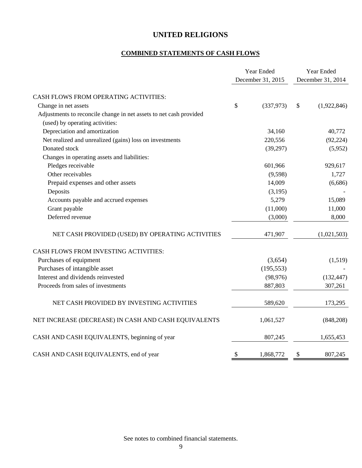# **COMBINED STATEMENTS OF CASH FLOWS**

|                                                                    | Year Ended        | Year Ended |                   |  |
|--------------------------------------------------------------------|-------------------|------------|-------------------|--|
|                                                                    | December 31, 2015 |            | December 31, 2014 |  |
| CASH FLOWS FROM OPERATING ACTIVITIES:                              |                   |            |                   |  |
| Change in net assets                                               | \$<br>(337, 973)  | \$         | (1,922,846)       |  |
| Adjustments to reconcile change in net assets to net cash provided |                   |            |                   |  |
| (used) by operating activities:                                    |                   |            |                   |  |
| Depreciation and amortization                                      | 34,160            |            | 40,772            |  |
| Net realized and unrealized (gains) loss on investments            | 220,556           |            | (92, 224)         |  |
| Donated stock                                                      | (39,297)          |            | (5,952)           |  |
| Changes in operating assets and liabilities:                       |                   |            |                   |  |
| Pledges receivable                                                 | 601,966           |            | 929,617           |  |
| Other receivables                                                  | (9,598)           |            | 1,727             |  |
| Prepaid expenses and other assets                                  | 14,009            |            | (6,686)           |  |
| Deposits                                                           | (3,195)           |            |                   |  |
| Accounts payable and accrued expenses                              | 5,279             |            | 15,089            |  |
| Grant payable                                                      | (11,000)          |            | 11,000            |  |
| Deferred revenue                                                   | (3,000)           |            | 8,000             |  |
| NET CASH PROVIDED (USED) BY OPERATING ACTIVITIES                   | 471,907           |            | (1,021,503)       |  |
| CASH FLOWS FROM INVESTING ACTIVITIES:                              |                   |            |                   |  |
| Purchases of equipment                                             | (3,654)           |            | (1,519)           |  |
| Purchases of intangible asset                                      | (195, 553)        |            |                   |  |
| Interest and dividends reinvested                                  | (98, 976)         |            | (132, 447)        |  |
| Proceeds from sales of investments                                 | 887,803           |            | 307,261           |  |
| NET CASH PROVIDED BY INVESTING ACTIVITIES                          | 589,620           |            | 173,295           |  |
| NET INCREASE (DECREASE) IN CASH AND CASH EQUIVALENTS               | 1,061,527         |            | (848,208)         |  |
| CASH AND CASH EQUIVALENTS, beginning of year                       | 807,245           |            | 1,655,453         |  |
| CASH AND CASH EQUIVALENTS, end of year                             | \$<br>1,868,772   | \$         | 807,245           |  |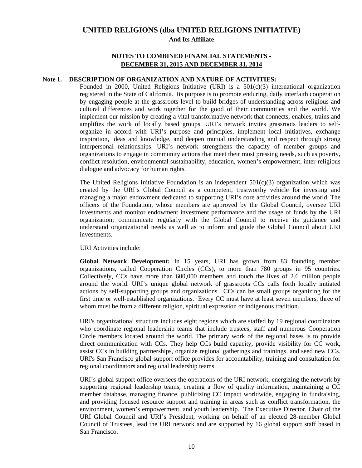### **NOTES TO COMBINED FINANCIAL STATEMENTS - DECEMBER 31, 2015 AND DECEMBER 31, 2014**

### **Note 1. DESCRIPTION OF ORGANIZATION AND NATURE OF ACTIVITIES:**

Founded in 2000, United Religions Initiative (URI) is a  $501(c)(3)$  international organization registered in the State of California. Its purpose is to promote enduring, daily interfaith cooperation by engaging people at the grassroots level to build bridges of understanding across religious and cultural differences and work together for the good of their communities and the world. We implement our mission by creating a vital transformative network that connects, enables, trains and amplifies the work of locally based groups. URI's network invites grassroots leaders to selforganize in accord with URI's purpose and principles, implement local initiatives, exchange inspiration, ideas and knowledge, and deepen mutual understanding and respect through strong interpersonal relationships. URI's network strengthens the capacity of member groups and organizations to engage in community actions that meet their most pressing needs, such as poverty, conflict resolution, environmental sustainability, education, women's empowerment, inter-religious dialogue and advocacy for human rights.

The United Religions Initiative Foundation is an independent  $501(c)(3)$  organization which was created by the URI's Global Council as a competent, trustworthy vehicle for investing and managing a major endowment dedicated to supporting URI's core activities around the world. The officers of the Foundation, whose members are approved by the Global Council, oversee URI investments and monitor endowment investment performance and the usage of funds by the URI organization; communicate regularly with the Global Council to receive its guidance and understand organizational needs as well as to inform and guide the Global Council about URI investments.

**URI** Activities include:

**Global Network Development:** In 15 years, URI has grown from 83 founding member organizations, called Cooperation Circles (CCs), to more than 780 groups in 95 countries. Collectively, CCs have more than 600,000 members and touch the lives of 2.6 million people around the world. URI's unique global network of grassroots CCs calls forth locally initiated actions by self-supporting groups and organizations. CCs can be small groups organizing for the first time or well-established organizations. Every CC must have at least seven members, three of whom must be from a different religion, spiritual expression or indigenous tradition.

URI's organizational structure includes eight regions which are staffed by 19 regional coordinators who coordinate regional leadership teams that include trustees, staff and numerous Cooperation Circle members located around the world. The primary work of the regional bases is to provide direct communication with CCs. They help CCs build capacity, provide visibility for CC work, assist CCs in building partnerships, organize regional gatherings and trainings, and seed new CCs. URI's San Francisco global support office provides for accountability, training and consultation for regional coordinators and regional leadership teams.

URI's global support office oversees the operations of the URI network, energizing the network by supporting regional leadership teams, creating a flow of quality information, maintaining a CC member database, managing finance, publicizing CC impact worldwide, engaging in fundraising, and providing focused resource support and training in areas such as conflict transformation, the environment, women's empowerment, and youth leadership. The Executive Director, Chair of the URI Global Council and URI's President, working on behalf of an elected 28-member Global Council of Trustees, lead the URI network and are supported by 16 global support staff based in San Francisco.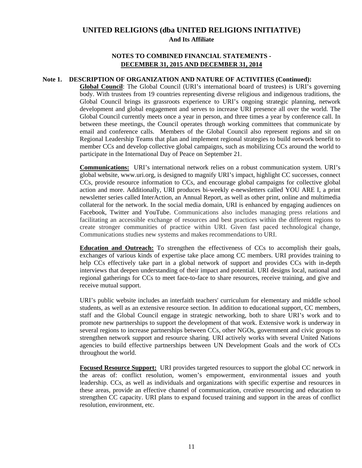### **NOTES TO COMBINED FINANCIAL STATEMENTS - DECEMBER 31, 2015 AND DECEMBER 31, 2014**

### **Note 1. DESCRIPTION OF ORGANIZATION AND NATURE OF ACTIVITIES (Continued):**

**Global Council**: The Global Council (URI's international board of trustees) is URI's governing body. With trustees from 19 countries representing diverse religious and indigenous traditions, the Global Council brings its grassroots experience to URI's ongoing strategic planning, network development and global engagement and serves to increase URI presence all over the world. The Global Council currently meets once a year in person, and three times a year by conference call. In between these meetings, the Council operates through working committees that communicate by email and conference calls. Members of the Global Council also represent regions and sit on Regional Leadership Teams that plan and implement regional strategies to build network benefit to member CCs and develop collective global campaigns, such as mobilizing CCs around the world to participate in the International Day of Peace on September 21.

**Communications:** URI's international network relies on a robust communication system. URI's global website, www.uri.org, is designed to magnify URI's impact, highlight CC successes, connect CCs, provide resource information to CCs, and encourage global campaigns for collective global action and more. Additionally, URI produces bi-weekly e-newsletters called YOU ARE I, a print newsletter series called InterAction, an Annual Report, as well as other print, online and multimedia collateral for the network. In the social media domain, URI is enhanced by engaging audiences on Facebook, Twitter and YouTube. Communications also includes managing press relations and facilitating an accessible exchange of resources and best practices within the different regions to create stronger communities of practice within URI. Given fast paced technological change, Communications studies new systems and makes recommendations to URI.

**Education and Outreach:** To strengthen the effectiveness of CCs to accomplish their goals, exchanges of various kinds of expertise take place among CC members. URI provides training to help CCs effectively take part in a global network of support and provides CCs with in-depth interviews that deepen understanding of their impact and potential. URI designs local, national and regional gatherings for CCs to meet face-to-face to share resources, receive training, and give and receive mutual support.

URI's public website includes an interfaith teachers' curriculum for elementary and middle school students, as well as an extensive resource section. In addition to educational support, CC members, staff and the Global Council engage in strategic networking, both to share URI's work and to promote new partnerships to support the development of that work. Extensive work is underway in several regions to increase partnerships between CCs, other NGOs, government and civic groups to strengthen network support and resource sharing. URI actively works with several United Nations agencies to build effective partnerships between UN Development Goals and the work of CCs throughout the world.

**Focused Resource Support:** URI provides targeted resources to support the global CC network in the areas of: conflict resolution, women's empowerment, environmental issues and youth leadership. CCs, as well as individuals and organizations with specific expertise and resources in these areas, provide an effective channel of communication, creative resourcing and education to strengthen CC capacity. URI plans to expand focused training and support in the areas of conflict resolution, environment, etc.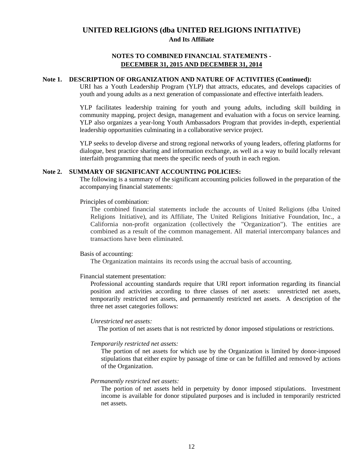### **NOTES TO COMBINED FINANCIAL STATEMENTS - DECEMBER 31, 2015 AND DECEMBER 31, 2014**

### **Note 1. DESCRIPTION OF ORGANIZATION AND NATURE OF ACTIVITIES (Continued):**

URI has a Youth Leadership Program (YLP) that attracts, educates, and develops capacities of youth and young adults as a next generation of compassionate and effective interfaith leaders.

YLP facilitates leadership training for youth and young adults, including skill building in community mapping, project design, management and evaluation with a focus on service learning. YLP also organizes a year-long Youth Ambassadors Program that provides in-depth, experiential leadership opportunities culminating in a collaborative service project.

YLP seeks to develop diverse and strong regional networks of young leaders, offering platforms for dialogue, best practice sharing and information exchange, as well as a way to build locally relevant interfaith programming that meets the specific needs of youth in each region.

#### **Note 2. SUMMARY OF SIGNIFICANT ACCOUNTING POLICIES:**

The following is a summary of the significant accounting policies followed in the preparation of the accompanying financial statements:

Principles of combination:

The combined financial statements include the accounts of United Religions (dba United Religions Initiative), and its Affiliate, The United Religions Initiative Foundation, Inc., a California non-profit organization (collectively the "Organization"). The entities are combined as a result of the common management. All material intercompany balances and transactions have been eliminated.

#### Basis of accounting:

The Organization maintains its records using the accrual basis of accounting.

#### Financial statement presentation:

Professional accounting standards require that URI report information regarding its financial position and activities according to three classes of net assets: unrestricted net assets, temporarily restricted net assets, and permanently restricted net assets. A description of the three net asset categories follows:

#### *Unrestricted net assets:*

The portion of net assets that is not restricted by donor imposed stipulations or restrictions.

#### *Temporarily restricted net assets:*

The portion of net assets for which use by the Organization is limited by donor-imposed stipulations that either expire by passage of time or can be fulfilled and removed by actions of the Organization.

#### *Permanently restricted net assets:*

The portion of net assets held in perpetuity by donor imposed stipulations. Investment income is available for donor stipulated purposes and is included in temporarily restricted net assets.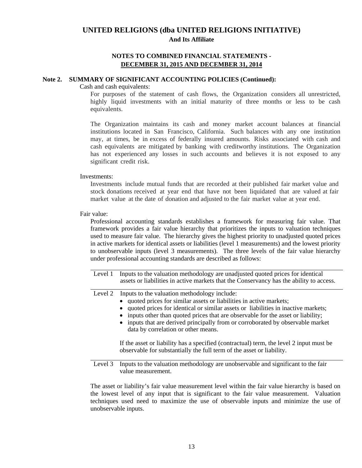### **NOTES TO COMBINED FINANCIAL STATEMENTS - DECEMBER 31, 2015 AND DECEMBER 31, 2014**

#### **Note 2. SUMMARY OF SIGNIFICANT ACCOUNTING POLICIES (Continued):**

#### Cash and cash equivalents:

For purposes of the statement of cash flows, the Organization considers all unrestricted, highly liquid investments with an initial maturity of three months or less to be cash equivalents.

The Organization maintains its cash and money market account balances at financial institutions located in San Francisco, California. Such balances with any one institution may, at times, be in excess of federally insured amounts. Risks associated with cash and cash equivalents are mitigated by banking with creditworthy institutions. The Organization has not experienced any losses in such accounts and believes it is not exposed to any significant credit risk.

#### Investments:

Investments include mutual funds that are recorded at their published fair market value and stock donations received at year end that have not been liquidated that are valued at fair market value at the date of donation and adjusted to the fair market value at year end.

#### Fair value:

Professional accounting standards establishes a framework for measuring fair value. That framework provides a fair value hierarchy that prioritizes the inputs to valuation techniques used to measure fair value. The hierarchy gives the highest priority to unadjusted quoted prices in active markets for identical assets or liabilities (level 1 measurements) and the lowest priority to unobservable inputs (level 3 measurements). The three levels of the fair value hierarchy under professional accounting standards are described as follows:

Level 1 Inputs to the valuation methodology are unadjusted quoted prices for identical assets or liabilities in active markets that the Conservancy has the ability to access.

Level 2 Inputs to the valuation methodology include:

- $\bullet$  quoted prices for similar assets or liabilities in active markets;
- quoted prices for identical or similar assets or liabilities in inactive markets;
- inputs other than quoted prices that are observable for the asset or liability;
- inputs that are derived principally from or corroborated by observable market data by correlation or other means.

 If the asset or liability has a specified (contractual) term, the level 2 input must be observable for substantially the full term of the asset or liability.

 $\overline{a}$ Level 3 Inputs to the valuation methodology are unobservable and significant to the fair value measurement.

The asset or liability's fair value measurement level within the fair value hierarchy is based on the lowest level of any input that is significant to the fair value measurement. Valuation techniques used need to maximize the use of observable inputs and minimize the use of unobservable inputs.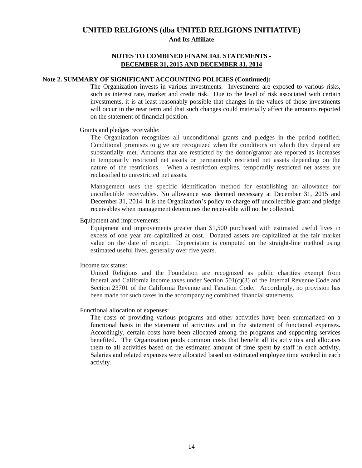### **NOTES TO COMBINED FINANCIAL STATEMENTS - DECEMBER 31, 2015 AND DECEMBER 31, 2014**

### **Note 2. SUMMARY OF SIGNIFICANT ACCOUNTING POLICIES (Continued):**

The Organization invests in various investments. Investments are exposed to various risks, such as interest rate, market and credit risk. Due to the level of risk associated with certain investments, it is at least reasonably possible that changes in the values of those investments will occur in the near term and that such changes could materially affect the amounts reported on the statement of financial position.

#### Grants and pledges receivable:

The Organization recognizes all unconditional grants and pledges in the period notified. Conditional promises to give are recognized when the conditions on which they depend are substantially met. Amounts that are restricted by the donor/grantor are reported as increases in temporarily restricted net assets or permanently restricted net assets depending on the nature of the restrictions. When a restriction expires, temporarily restricted net assets are reclassified to unrestricted net assets.

Management uses the specific identification method for establishing an allowance for uncollectible receivables. No allowance was deemed necessary at December 31, 2015 and December 31, 2014. It is the Organization's policy to charge off uncollectible grant and pledge receivables when management determines the receivable will not be collected.

### Equipment and improvements:

Equipment and improvements greater than \$1,500 purchased with estimated useful lives in excess of one year are capitalized at cost. Donated assets are capitalized at the fair market value on the date of receipt. Depreciation is computed on the straight-line method using estimated useful lives, generally over five years.

#### Income tax status:

United Religions and the Foundation are recognized as public charities exempt from federal and California income taxes under Section 501(c)(3) of the Internal Revenue Code and Section 23701 of the California Revenue and Taxation Code. Accordingly, no provision has been made for such taxes in the accompanying combined financial statements.

#### Functional allocation of expenses:

The costs of providing various programs and other activities have been summarized on a functional basis in the statement of activities and in the statement of functional expenses. Accordingly, certain costs have been allocated among the programs and supporting services benefited. The Organization pools common costs that benefit all its activities and allocates them to all activities based on the estimated amount of time spent by staff in each activity. Salaries and related expenses were allocated based on estimated employee time worked in each activity.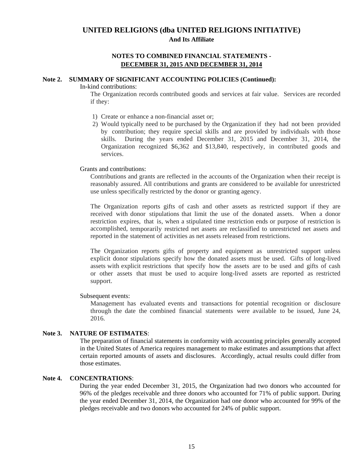### **NOTES TO COMBINED FINANCIAL STATEMENTS - DECEMBER 31, 2015 AND DECEMBER 31, 2014**

#### **Note 2. SUMMARY OF SIGNIFICANT ACCOUNTING POLICIES (Continued):**

#### In-kind contributions:

The Organization records contributed goods and services at fair value. Services are recorded if they:

- 1) Create or enhance a non-financial asset or;
- 2) Would typically need to be purchased by the Organization if they had not been provided by contribution; they require special skills and are provided by individuals with those skills. During the years ended December 31, 2015 and December 31, 2014, the Organization recognized \$6,362 and \$13,840, respectively, in contributed goods and services.

### Grants and contributions:

Contributions and grants are reflected in the accounts of the Organization when their receipt is reasonably assured. All contributions and grants are considered to be available for unrestricted use unless specifically restricted by the donor or granting agency.

The Organization reports gifts of cash and other assets as restricted support if they are received with donor stipulations that limit the use of the donated assets. When a donor restriction expires, that is, when a stipulated time restriction ends or purpose of restriction is accomplished, temporarily restricted net assets are reclassified to unrestricted net assets and reported in the statement of activities as net assets released from restrictions.

The Organization reports gifts of property and equipment as unrestricted support unless explicit donor stipulations specify how the donated assets must be used. Gifts of long-lived assets with explicit restrictions that specify how the assets are to be used and gifts of cash or other assets that must be used to acquire long-lived assets are reported as restricted support.

#### Subsequent events:

Management has evaluated events and transactions for potential recognition or disclosure through the date the combined financial statements were available to be issued, June 24, 2016.

#### **Note 3. NATURE OF ESTIMATES**:

The preparation of financial statements in conformity with accounting principles generally accepted in the United States of America requires management to make estimates and assumptions that affect certain reported amounts of assets and disclosures. Accordingly, actual results could differ from those estimates.

### **Note 4. CONCENTRATIONS**:

During the year ended December 31, 2015, the Organization had two donors who accounted for 96% of the pledges receivable and three donors who accounted for 71% of public support. During the year ended December 31, 2014, the Organization had one donor who accounted for 99% of the pledges receivable and two donors who accounted for 24% of public support.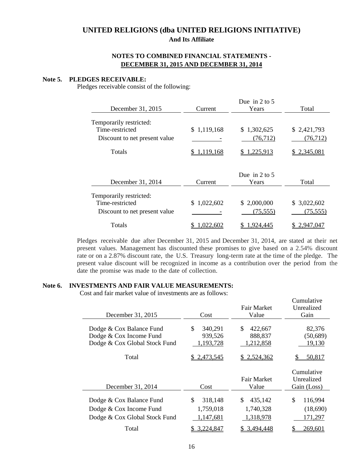### **NOTES TO COMBINED FINANCIAL STATEMENTS - DECEMBER 31, 2015 AND DECEMBER 31, 2014**

#### **Note 5. PLEDGES RECEIVABLE:**

Pledges receivable consist of the following:

| December 31, 2015                                                           | Current     | Due in 2 to 5<br>Years   | Total                    |
|-----------------------------------------------------------------------------|-------------|--------------------------|--------------------------|
| Temporarily restricted:<br>Time-restricted<br>Discount to net present value | \$1,119,168 | \$1,302,625<br>(76, 712) | \$2,421,793<br>(76, 712) |
| Totals                                                                      | 1,119,168   | 1,225,913                | \$2,345,081              |
| December 31, 2014                                                           | Current     | Due in 2 to 5<br>Years   | Total                    |
| Temporarily restricted:<br>Time-restricted<br>Discount to net present value | \$1,022,602 | \$2,000,000<br>(75, 555) | \$3,022,602<br>(75, 555) |
| Totals                                                                      | 022,602     | .924.445                 | 2.947.047                |

Pledges receivable due after December 31, 2015 and December 31, 2014, are stated at their net present values. Management has discounted these promises to give based on a 2.54% discount rate or on a 2.87% discount rate, the U.S. Treasury long-term rate at the time of the pledge. The present value discount will be recognized in income as a contribution over the period from the date the promise was made to the date of collection.

#### **Note 6. INVESTMENTS AND FAIR VALUE MEASUREMENTS:**

Cost and fair market value of investments are as follows:

|                               |               |                | Cumulative    |
|-------------------------------|---------------|----------------|---------------|
|                               |               | Fair Market    | Unrealized    |
| December 31, 2015             | Cost          | Value          | Gain          |
|                               |               |                |               |
| Dodge & Cox Balance Fund      | \$<br>340,291 | \$<br>422,667  | 82,376        |
| Dodge & Cox Income Fund       | 939,526       | 888,837        | (50, 689)     |
| Dodge & Cox Global Stock Fund | 1,193,728     | 1,212,858      | 19,130        |
|                               |               |                |               |
| Total                         | 2,473,545     | 2,524,362      | 50,817        |
|                               |               |                |               |
|                               |               |                |               |
|                               |               |                | Cumulative    |
|                               |               | Fair Market    | Unrealized    |
|                               | Cost          | Value          |               |
| December 31, 2014             |               |                | Gain (Loss)   |
| Dodge & Cox Balance Fund      | \$<br>318,148 | \$.<br>435,142 | \$<br>116,994 |
|                               | 1,759,018     | 1,740,328      |               |
| Dodge & Cox Income Fund       |               |                | (18,690)      |
| Dodge & Cox Global Stock Fund | 1,147,681     | 1,318,978      | 171,297       |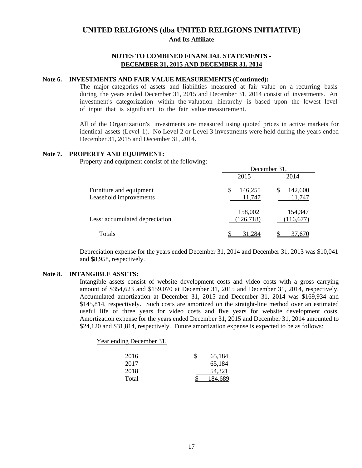### **NOTES TO COMBINED FINANCIAL STATEMENTS - DECEMBER 31, 2015 AND DECEMBER 31, 2014**

#### **Note 6. INVESTMENTS AND FAIR VALUE MEASUREMENTS (Continued):**

The major categories of assets and liabilities measured at fair value on a recurring basis during the years ended December 31, 2015 and December 31, 2014 consist of investments. An investment's categorization within the valuation hierarchy is based upon the lowest level of input that is significant to the fair value measurement.

All of the Organization's investments are measured using quoted prices in active markets for identical assets (Level 1). No Level 2 or Level 3 investments were held during the years ended December 31, 2015 and December 31, 2014.

### **Note 7. PROPERTY AND EQUIPMENT:**

Property and equipment consist of the following:

|                                                   | December 31,            |                        |  |  |  |
|---------------------------------------------------|-------------------------|------------------------|--|--|--|
|                                                   | 2015                    | 2014                   |  |  |  |
| Furniture and equipment<br>Leasehold improvements | 146,255<br>\$<br>11,747 | 142,600<br>S<br>11,747 |  |  |  |
| Less: accumulated depreciation                    | 158,002<br>(126, 718)   | 154,347<br>(116, 677)  |  |  |  |
| Totals                                            | 284                     | /0.67                  |  |  |  |

Depreciation expense for the years ended December 31, 2014 and December 31, 2013 was \$10,041 and \$8,958, respectively.

#### **Note 8. INTANGIBLE ASSETS:**

Intangible assets consist of website development costs and video costs with a gross carrying amount of \$354,623 and \$159,070 at December 31, 2015 and December 31, 2014, respectively. Accumulated amortization at December 31, 2015 and December 31, 2014 was \$169,934 and \$145,814, respectively. Such costs are amortized on the straight-line method over an estimated useful life of three years for video costs and five years for website development costs. Amortization expense for the years ended December 31, 2015 and December 31, 2014 amounted to \$24,120 and \$31,814, respectively. Future amortization expense is expected to be as follows:

Year ending December 31,

| 2016  | S | 65.184  |
|-------|---|---------|
| 2017  |   | 65,184  |
| 2018  |   | 54,321  |
| Total |   | 184.689 |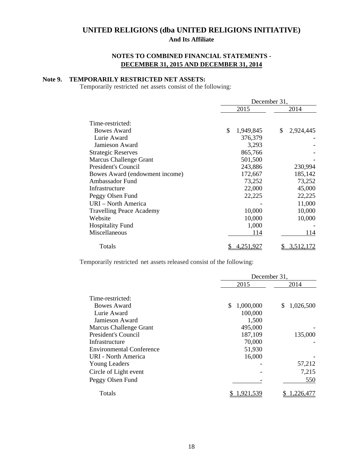# **NOTES TO COMBINED FINANCIAL STATEMENTS - DECEMBER 31, 2015 AND DECEMBER 31, 2014**

### **Note 9. TEMPORARILY RESTRICTED NET ASSETS:**

Temporarily restricted net assets consist of the following:

|                                 | December 31,    |                  |  |  |  |  |
|---------------------------------|-----------------|------------------|--|--|--|--|
|                                 | 2015            | 2014             |  |  |  |  |
| Time-restricted:                |                 |                  |  |  |  |  |
| <b>Bowes Award</b>              | \$<br>1,949,845 | \$.<br>2,924,445 |  |  |  |  |
| Lurie Award                     | 376,379         |                  |  |  |  |  |
| Jamieson Award                  | 3,293           |                  |  |  |  |  |
| <b>Strategic Reserves</b>       | 865,766         |                  |  |  |  |  |
| <b>Marcus Challenge Grant</b>   | 501,500         |                  |  |  |  |  |
| President's Council             | 243,886         | 230,994          |  |  |  |  |
| Bowes Award (endowment income)  | 172,667         | 185,142          |  |  |  |  |
| Ambassador Fund                 | 73,252          | 73,252           |  |  |  |  |
| Infrastructure                  | 22,000          | 45,000           |  |  |  |  |
| Peggy Olsen Fund                | 22,225          | 22,225           |  |  |  |  |
| URI – North America             |                 | 11,000           |  |  |  |  |
| <b>Travelling Peace Academy</b> | 10,000          | 10,000           |  |  |  |  |
| Website                         | 10,000          | 10,000           |  |  |  |  |
| <b>Hospitality Fund</b>         | 1,000           |                  |  |  |  |  |
| Miscellaneous                   | 114             | 114              |  |  |  |  |
| Totals                          | 4.251.927       | 3,512,172        |  |  |  |  |

Temporarily restricted net assets released consist of the following:

|                                 | December 31,    |                 |  |  |  |
|---------------------------------|-----------------|-----------------|--|--|--|
|                                 | 2015            | 2014            |  |  |  |
| Time-restricted:<br>Bowes Award | \$<br>1,000,000 | 1,026,500<br>S. |  |  |  |
| Lurie Award                     | 100,000         |                 |  |  |  |
| Jamieson Award                  | 1,500           |                 |  |  |  |
| <b>Marcus Challenge Grant</b>   | 495,000         |                 |  |  |  |
| President's Council             | 187,109         | 135,000         |  |  |  |
| Infrastructure                  | 70,000          |                 |  |  |  |
| <b>Environmental Conference</b> | 51,930          |                 |  |  |  |
| <b>URI - North America</b>      | 16,000          |                 |  |  |  |
| <b>Young Leaders</b>            |                 | 57,212          |  |  |  |
| Circle of Light event           |                 | 7,215           |  |  |  |
| Peggy Olsen Fund                |                 | 550             |  |  |  |
| Totals                          | .921.5          | .226,477        |  |  |  |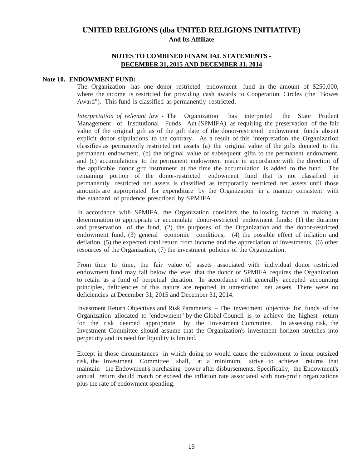### **NOTES TO COMBINED FINANCIAL STATEMENTS - DECEMBER 31, 2015 AND DECEMBER 31, 2014**

#### **Note 10. ENDOWMENT FUND:**

The Organization has one donor restricted endowment fund in the amount of \$250,000, where the income is restricted for providing cash awards to Cooperation Circles (the "Bowes Award"). This fund is classified as permanently restricted.

*Interpretation of relevant law* - The Organization has interpreted the State Prudent Management of Institutional Funds Act (SPMIFA) as requiring the preservation of the fair value of the original gift as of the gift date of the donor-restricted endowment funds absent explicit donor stipulations to the contrary. As a result of this interpretation, the Organization classifies as permanently restricted net assets (a) the original value of the gifts donated to the permanent endowment, (b) the original value of subsequent gifts to the permanent endowment, and (c) accumulations to the permanent endowment made in accordance with the direction of the applicable donor gift instrument at the time the accumulation is added to the fund. The remaining portion of the donor-restricted endowment fund that is not classified in permanently restricted net assets is classified as temporarily restricted net assets until those amounts are appropriated for expenditure by the Organization in a manner consistent with the standard of prudence prescribed by SPMIFA.

In accordance with SPMIFA, the Organization considers the following factors in making a determination to appropriate or accumulate donor-restricted endowment funds: (1) the duration and preservation of the fund, (2) the purposes of the Organization and the donor-restricted endowment fund, (3) general economic conditions, (4) the possible effect of inflation and deflation, (5) the expected total return from income and the appreciation of investments, (6) other resources of the Organization, (7) the investment policies of the Organization.

From time to time, the fair value of assets associated with individual donor restricted endowment fund may fall below the level that the donor or SPMIFA requires the Organization to retain as a fund of perpetual duration. In accordance with generally accepted accounting principles, deficiencies of this nature are reported in unrestricted net assets. There were no deficiencies at December 31, 2015 and December 31, 2014.

Investment Return Objectives and Risk Parameters – The investment objective for funds of the Organization allocated to "endowment" by the Global Council is to achieve the highest return for the risk deemed appropriate by the Investment Committee. In assessing risk, the Investment Committee should assume that the Organization's investment horizon stretches into perpetuity and its need for liquidity is limited.

Except in those circumstances in which doing so would cause the endowment to incur outsized risk, the Investment Committee shall, at a minimum, strive to achieve returns that maintain the Endowment's purchasing power after disbursements. Specifically, the Endowment's annual return should match or exceed the inflation rate associated with non-profit organizations plus the rate of endowment spending.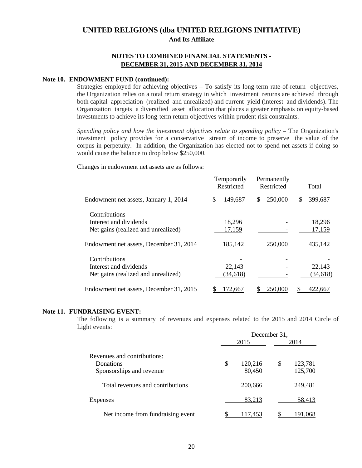### **NOTES TO COMBINED FINANCIAL STATEMENTS - DECEMBER 31, 2015 AND DECEMBER 31, 2014**

#### **Note 10. ENDOWMENT FUND (continued):**

Strategies employed for achieving objectives – To satisfy its long-term rate-of-return objectives, the Organization relies on a total return strategy in which investment returns are achieved through both capital appreciation (realized and unrealized) and current yield (interest and dividends). The Organization targets a diversified asset allocation that places a greater emphasis on equity-based investments to achieve its long-term return objectives within prudent risk constraints.

*Spending policy and how the investment objectives relate to spending policy* – The Organization's investment policy provides for a conservative stream of income to preserve the value of the corpus in perpetuity. In addition, the Organization has elected not to spend net assets if doing so would cause the balance to drop below \$250,000.

Changes in endowment net assets are as follows:

|                                         | Temporarily<br>Restricted | Permanently<br>Restricted | Total        |  |  |
|-----------------------------------------|---------------------------|---------------------------|--------------|--|--|
| Endowment net assets, January 1, 2014   | 149,687<br>S              | 250,000<br>\$             | 399,687<br>S |  |  |
| Contributions                           |                           |                           |              |  |  |
| Interest and dividends                  | 18,296                    |                           | 18,296       |  |  |
| Net gains (realized and unrealized)     | 17,159                    |                           | 17,159       |  |  |
| Endowment net assets, December 31, 2014 | 185,142                   | 250,000                   | 435,142      |  |  |
| Contributions                           |                           |                           |              |  |  |
| Interest and dividends                  | 22,143                    |                           | 22,143       |  |  |
| Net gains (realized and unrealized)     | (34, 618)                 |                           | (34, 618)    |  |  |
| Endowment net assets, December 31, 2015 | 72,667                    | 250,000                   | 422.667      |  |  |

#### **Note 11. FUNDRAISING EVENT:**

The following is a summary of revenues and expenses related to the 2015 and 2014 Circle of Light events:

|                                                                      | December 31, |                   |      |                    |  |  |  |
|----------------------------------------------------------------------|--------------|-------------------|------|--------------------|--|--|--|
| Revenues and contributions:<br>Donations<br>Sponsorships and revenue |              | 2015              | 2014 |                    |  |  |  |
|                                                                      | \$           | 120,216<br>80,450 | S    | 123,781<br>125,700 |  |  |  |
| Total revenues and contributions                                     |              | 200,666           |      | 249,481            |  |  |  |
| <b>Expenses</b>                                                      |              | 83,213            |      | 58,413             |  |  |  |
| Net income from fundraising event                                    |              | 117,453           |      | 191,068            |  |  |  |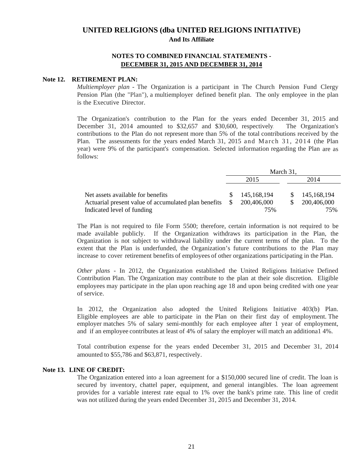### **NOTES TO COMBINED FINANCIAL STATEMENTS - DECEMBER 31, 2015 AND DECEMBER 31, 2014**

#### **Note 12. RETIREMENT PLAN:**

*Multiemployer plan* - The Organization is a participant in The Church Pension Fund Clergy Pension Plan (the "Plan"), a multiemployer defined benefit plan. The only employee in the plan is the Executive Director.

The Organization's contribution to the Plan for the years ended December 31, 2015 and December 31, 2014 amounted to \$32,657 and \$30,600, respectively. The Organization's contributions to the Plan do not represent more than 5% of the total contributions received by the Plan. The assessments for the years ended March 31, 2015 and March 31, 2014 (the Plan year) were 9% of the participant's compensation. Selected information regarding the Plan are as follows:

|                                                      | March 31, |             |  |             |  |  |
|------------------------------------------------------|-----------|-------------|--|-------------|--|--|
|                                                      |           | 2015        |  | 2014        |  |  |
|                                                      |           |             |  |             |  |  |
| Net assets available for benefits                    |           | 145,168,194 |  | 145,168,194 |  |  |
| Actuarial present value of accumulated plan benefits |           | 200,406,000 |  | 200,406,000 |  |  |
| Indicated level of funding                           |           | 75%<br>75%  |  |             |  |  |

The Plan is not required to file Form 5500; therefore, certain information is not required to be made available publicly. If the Organization withdraws its participation in the Plan, the Organization is not subject to withdrawal liability under the current terms of the plan. To the extent that the Plan is underfunded, the Organization's future contributions to the Plan may increase to cover retirement benefits of employees of other organizations participating in the Plan.

*Other plans -* In 2012, the Organization established the United Religions Initiative Defined Contribution Plan. The Organization may contribute to the plan at their sole discretion. Eligible employees may participate in the plan upon reaching age 18 and upon being credited with one year of service.

In 2012, the Organization also adopted the United Religions Initiative 403(b) Plan. Eligible employees are able to participate in the Plan on their first day of employment. The employer matches 5% of salary semi-monthly for each employee after 1 year of employment, and if an employee contributes at least of 4% of salary the employer will match an additiona1 4%.

Total contribution expense for the years ended December 31, 2015 and December 31, 2014 amounted to \$55,786 and \$63,871, respectively.

#### **Note 13. LINE OF CREDIT:**

The Organization entered into a loan agreement for a \$150,000 secured line of credit. The loan is secured by inventory, chattel paper, equipment, and general intangibles. The loan agreement provides for a variable interest rate equal to 1% over the bank's prime rate. This line of credit was not utilized during the years ended December 31, 2015 and December 31, 2014.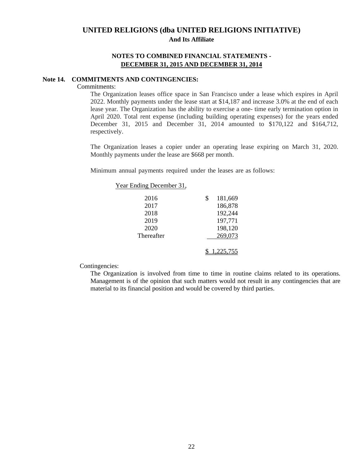### **NOTES TO COMBINED FINANCIAL STATEMENTS - DECEMBER 31, 2015 AND DECEMBER 31, 2014**

#### **Note 14. COMMITMENTS AND CONTINGENCIES:**

#### Commitments:

The Organization leases office space in San Francisco under a lease which expires in April 2022. Monthly payments under the lease start at \$14,187 and increase 3.0% at the end of each lease year. The Organization has the ability to exercise a one- time early termination option in April 2020. Total rent expense (including building operating expenses) for the years ended December 31, 2015 and December 31, 2014 amounted to \$170,122 and \$164,712, respectively.

The Organization leases a copier under an operating lease expiring on March 31, 2020. Monthly payments under the lease are \$668 per month.

Minimum annual payments required under the leases are as follows:

| Year Ending December 31, |               |
|--------------------------|---------------|
| 2016                     | \$<br>181,669 |
| 2017                     | 186,878       |
| 2018                     | 192,244       |
| 2019                     | 197,771       |
| 2020                     | 198,120       |
| Thereafter               | 269,073       |
|                          | .225.755      |

Contingencies:

The Organization is involved from time to time in routine claims related to its operations. Management is of the opinion that such matters would not result in any contingencies that are material to its financial position and would be covered by third parties.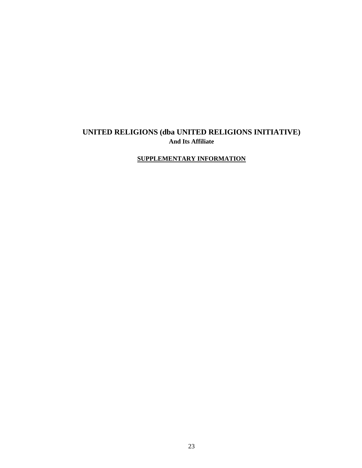# **SUPPLEMENTARY INFORMATION**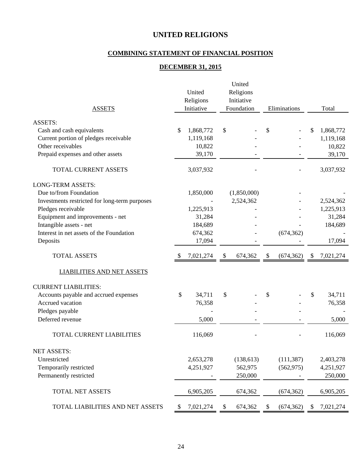# **COMBINING STATEMENT OF FINANCIAL POSITION**

# **DECEMBER 31, 2015**

| Religions<br>United<br>Religions<br>Initiative<br>Initiative<br>Foundation<br>Eliminations<br>Total<br><b>ASSETS</b><br><b>ASSETS:</b><br>Cash and cash equivalents<br>1,868,772<br>\$<br>\$<br>1,868,772<br>\$<br>\$<br>Current portion of pledges receivable<br>1,119,168<br>1,119,168<br>Other receivables<br>10,822<br>10,822<br>39,170<br>Prepaid expenses and other assets<br>39,170<br>TOTAL CURRENT ASSETS<br>3,037,932<br>3,037,932<br><b>LONG-TERM ASSETS:</b><br>Due to/from Foundation<br>1,850,000<br>(1,850,000)<br>2,524,362<br>Investments restricted for long-term purposes<br>2,524,362<br>Pledges receivable<br>1,225,913<br>1,225,913<br>Equipment and improvements - net<br>31,284<br>31,284<br>Intangible assets - net<br>184,689<br>184,689<br>Interest in net assets of the Foundation<br>674,362<br>(674, 362)<br>Deposits<br>17,094<br>17,094<br><b>TOTAL ASSETS</b><br>7,021,274<br>674,362<br>\$<br>(674, 362)<br>7,021,274<br>\$<br>\$<br>\$<br><b>LIABILITIES AND NET ASSETS</b><br><b>CURRENT LIABILITIES:</b><br>\$<br>Accounts payable and accrued expenses<br>\$<br>\$<br>34,711<br>34,711<br>\$<br>Accrued vacation<br>76,358<br>76,358<br>Pledges payable<br>Deferred revenue<br>5,000<br>5,000<br><b>TOTAL CURRENT LIABILITIES</b><br>116,069<br>116,069<br><b>NET ASSETS:</b><br>Unrestricted<br>(138, 613)<br>(111, 387)<br>2,653,278<br>2,403,278<br>Temporarily restricted<br>4,251,927<br>562,975<br>(562, 975)<br>4,251,927<br>Permanently restricted<br>250,000<br>250,000<br>TOTAL NET ASSETS<br>6,905,205<br>674,362<br>(674, 362)<br>6,905,205<br>TOTAL LIABILITIES AND NET ASSETS<br>7,021,274<br>674,362<br>\$<br>(674, 362)<br>\$<br>\$<br>7,021,274<br>\$ | United |  |  |  |  |  |  |
|--------------------------------------------------------------------------------------------------------------------------------------------------------------------------------------------------------------------------------------------------------------------------------------------------------------------------------------------------------------------------------------------------------------------------------------------------------------------------------------------------------------------------------------------------------------------------------------------------------------------------------------------------------------------------------------------------------------------------------------------------------------------------------------------------------------------------------------------------------------------------------------------------------------------------------------------------------------------------------------------------------------------------------------------------------------------------------------------------------------------------------------------------------------------------------------------------------------------------------------------------------------------------------------------------------------------------------------------------------------------------------------------------------------------------------------------------------------------------------------------------------------------------------------------------------------------------------------------------------------------------------------------------------------------------------------------------------------|--------|--|--|--|--|--|--|
|                                                                                                                                                                                                                                                                                                                                                                                                                                                                                                                                                                                                                                                                                                                                                                                                                                                                                                                                                                                                                                                                                                                                                                                                                                                                                                                                                                                                                                                                                                                                                                                                                                                                                                              |        |  |  |  |  |  |  |
|                                                                                                                                                                                                                                                                                                                                                                                                                                                                                                                                                                                                                                                                                                                                                                                                                                                                                                                                                                                                                                                                                                                                                                                                                                                                                                                                                                                                                                                                                                                                                                                                                                                                                                              |        |  |  |  |  |  |  |
|                                                                                                                                                                                                                                                                                                                                                                                                                                                                                                                                                                                                                                                                                                                                                                                                                                                                                                                                                                                                                                                                                                                                                                                                                                                                                                                                                                                                                                                                                                                                                                                                                                                                                                              |        |  |  |  |  |  |  |
|                                                                                                                                                                                                                                                                                                                                                                                                                                                                                                                                                                                                                                                                                                                                                                                                                                                                                                                                                                                                                                                                                                                                                                                                                                                                                                                                                                                                                                                                                                                                                                                                                                                                                                              |        |  |  |  |  |  |  |
|                                                                                                                                                                                                                                                                                                                                                                                                                                                                                                                                                                                                                                                                                                                                                                                                                                                                                                                                                                                                                                                                                                                                                                                                                                                                                                                                                                                                                                                                                                                                                                                                                                                                                                              |        |  |  |  |  |  |  |
|                                                                                                                                                                                                                                                                                                                                                                                                                                                                                                                                                                                                                                                                                                                                                                                                                                                                                                                                                                                                                                                                                                                                                                                                                                                                                                                                                                                                                                                                                                                                                                                                                                                                                                              |        |  |  |  |  |  |  |
|                                                                                                                                                                                                                                                                                                                                                                                                                                                                                                                                                                                                                                                                                                                                                                                                                                                                                                                                                                                                                                                                                                                                                                                                                                                                                                                                                                                                                                                                                                                                                                                                                                                                                                              |        |  |  |  |  |  |  |
|                                                                                                                                                                                                                                                                                                                                                                                                                                                                                                                                                                                                                                                                                                                                                                                                                                                                                                                                                                                                                                                                                                                                                                                                                                                                                                                                                                                                                                                                                                                                                                                                                                                                                                              |        |  |  |  |  |  |  |
|                                                                                                                                                                                                                                                                                                                                                                                                                                                                                                                                                                                                                                                                                                                                                                                                                                                                                                                                                                                                                                                                                                                                                                                                                                                                                                                                                                                                                                                                                                                                                                                                                                                                                                              |        |  |  |  |  |  |  |
|                                                                                                                                                                                                                                                                                                                                                                                                                                                                                                                                                                                                                                                                                                                                                                                                                                                                                                                                                                                                                                                                                                                                                                                                                                                                                                                                                                                                                                                                                                                                                                                                                                                                                                              |        |  |  |  |  |  |  |
|                                                                                                                                                                                                                                                                                                                                                                                                                                                                                                                                                                                                                                                                                                                                                                                                                                                                                                                                                                                                                                                                                                                                                                                                                                                                                                                                                                                                                                                                                                                                                                                                                                                                                                              |        |  |  |  |  |  |  |
|                                                                                                                                                                                                                                                                                                                                                                                                                                                                                                                                                                                                                                                                                                                                                                                                                                                                                                                                                                                                                                                                                                                                                                                                                                                                                                                                                                                                                                                                                                                                                                                                                                                                                                              |        |  |  |  |  |  |  |
|                                                                                                                                                                                                                                                                                                                                                                                                                                                                                                                                                                                                                                                                                                                                                                                                                                                                                                                                                                                                                                                                                                                                                                                                                                                                                                                                                                                                                                                                                                                                                                                                                                                                                                              |        |  |  |  |  |  |  |
|                                                                                                                                                                                                                                                                                                                                                                                                                                                                                                                                                                                                                                                                                                                                                                                                                                                                                                                                                                                                                                                                                                                                                                                                                                                                                                                                                                                                                                                                                                                                                                                                                                                                                                              |        |  |  |  |  |  |  |
|                                                                                                                                                                                                                                                                                                                                                                                                                                                                                                                                                                                                                                                                                                                                                                                                                                                                                                                                                                                                                                                                                                                                                                                                                                                                                                                                                                                                                                                                                                                                                                                                                                                                                                              |        |  |  |  |  |  |  |
|                                                                                                                                                                                                                                                                                                                                                                                                                                                                                                                                                                                                                                                                                                                                                                                                                                                                                                                                                                                                                                                                                                                                                                                                                                                                                                                                                                                                                                                                                                                                                                                                                                                                                                              |        |  |  |  |  |  |  |
|                                                                                                                                                                                                                                                                                                                                                                                                                                                                                                                                                                                                                                                                                                                                                                                                                                                                                                                                                                                                                                                                                                                                                                                                                                                                                                                                                                                                                                                                                                                                                                                                                                                                                                              |        |  |  |  |  |  |  |
|                                                                                                                                                                                                                                                                                                                                                                                                                                                                                                                                                                                                                                                                                                                                                                                                                                                                                                                                                                                                                                                                                                                                                                                                                                                                                                                                                                                                                                                                                                                                                                                                                                                                                                              |        |  |  |  |  |  |  |
|                                                                                                                                                                                                                                                                                                                                                                                                                                                                                                                                                                                                                                                                                                                                                                                                                                                                                                                                                                                                                                                                                                                                                                                                                                                                                                                                                                                                                                                                                                                                                                                                                                                                                                              |        |  |  |  |  |  |  |
|                                                                                                                                                                                                                                                                                                                                                                                                                                                                                                                                                                                                                                                                                                                                                                                                                                                                                                                                                                                                                                                                                                                                                                                                                                                                                                                                                                                                                                                                                                                                                                                                                                                                                                              |        |  |  |  |  |  |  |
|                                                                                                                                                                                                                                                                                                                                                                                                                                                                                                                                                                                                                                                                                                                                                                                                                                                                                                                                                                                                                                                                                                                                                                                                                                                                                                                                                                                                                                                                                                                                                                                                                                                                                                              |        |  |  |  |  |  |  |
|                                                                                                                                                                                                                                                                                                                                                                                                                                                                                                                                                                                                                                                                                                                                                                                                                                                                                                                                                                                                                                                                                                                                                                                                                                                                                                                                                                                                                                                                                                                                                                                                                                                                                                              |        |  |  |  |  |  |  |
|                                                                                                                                                                                                                                                                                                                                                                                                                                                                                                                                                                                                                                                                                                                                                                                                                                                                                                                                                                                                                                                                                                                                                                                                                                                                                                                                                                                                                                                                                                                                                                                                                                                                                                              |        |  |  |  |  |  |  |
|                                                                                                                                                                                                                                                                                                                                                                                                                                                                                                                                                                                                                                                                                                                                                                                                                                                                                                                                                                                                                                                                                                                                                                                                                                                                                                                                                                                                                                                                                                                                                                                                                                                                                                              |        |  |  |  |  |  |  |
|                                                                                                                                                                                                                                                                                                                                                                                                                                                                                                                                                                                                                                                                                                                                                                                                                                                                                                                                                                                                                                                                                                                                                                                                                                                                                                                                                                                                                                                                                                                                                                                                                                                                                                              |        |  |  |  |  |  |  |
|                                                                                                                                                                                                                                                                                                                                                                                                                                                                                                                                                                                                                                                                                                                                                                                                                                                                                                                                                                                                                                                                                                                                                                                                                                                                                                                                                                                                                                                                                                                                                                                                                                                                                                              |        |  |  |  |  |  |  |
|                                                                                                                                                                                                                                                                                                                                                                                                                                                                                                                                                                                                                                                                                                                                                                                                                                                                                                                                                                                                                                                                                                                                                                                                                                                                                                                                                                                                                                                                                                                                                                                                                                                                                                              |        |  |  |  |  |  |  |
|                                                                                                                                                                                                                                                                                                                                                                                                                                                                                                                                                                                                                                                                                                                                                                                                                                                                                                                                                                                                                                                                                                                                                                                                                                                                                                                                                                                                                                                                                                                                                                                                                                                                                                              |        |  |  |  |  |  |  |
|                                                                                                                                                                                                                                                                                                                                                                                                                                                                                                                                                                                                                                                                                                                                                                                                                                                                                                                                                                                                                                                                                                                                                                                                                                                                                                                                                                                                                                                                                                                                                                                                                                                                                                              |        |  |  |  |  |  |  |
|                                                                                                                                                                                                                                                                                                                                                                                                                                                                                                                                                                                                                                                                                                                                                                                                                                                                                                                                                                                                                                                                                                                                                                                                                                                                                                                                                                                                                                                                                                                                                                                                                                                                                                              |        |  |  |  |  |  |  |
|                                                                                                                                                                                                                                                                                                                                                                                                                                                                                                                                                                                                                                                                                                                                                                                                                                                                                                                                                                                                                                                                                                                                                                                                                                                                                                                                                                                                                                                                                                                                                                                                                                                                                                              |        |  |  |  |  |  |  |
|                                                                                                                                                                                                                                                                                                                                                                                                                                                                                                                                                                                                                                                                                                                                                                                                                                                                                                                                                                                                                                                                                                                                                                                                                                                                                                                                                                                                                                                                                                                                                                                                                                                                                                              |        |  |  |  |  |  |  |
|                                                                                                                                                                                                                                                                                                                                                                                                                                                                                                                                                                                                                                                                                                                                                                                                                                                                                                                                                                                                                                                                                                                                                                                                                                                                                                                                                                                                                                                                                                                                                                                                                                                                                                              |        |  |  |  |  |  |  |
|                                                                                                                                                                                                                                                                                                                                                                                                                                                                                                                                                                                                                                                                                                                                                                                                                                                                                                                                                                                                                                                                                                                                                                                                                                                                                                                                                                                                                                                                                                                                                                                                                                                                                                              |        |  |  |  |  |  |  |